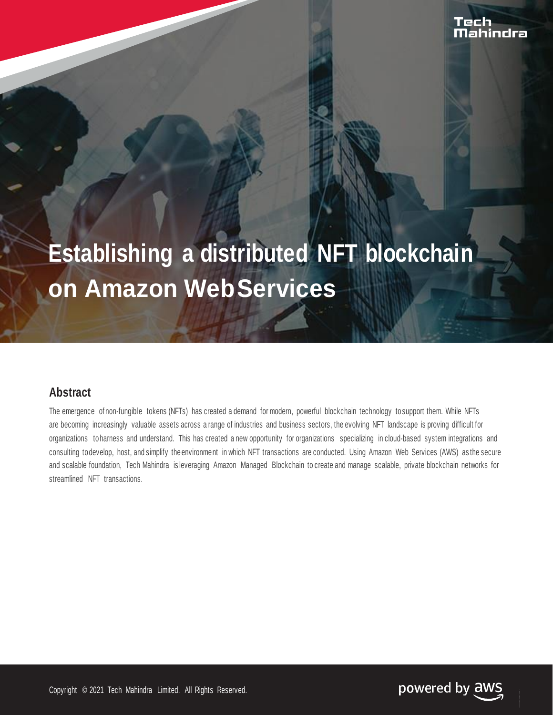# **Establishing a distributed NFT blockchain on Amazon WebServices**

# **Abstract**

The emergence of non-fungible tokens (NFTs) has created a demand for modern, powerful blockchain technology tosupport them. While NFTs are becoming increasingly valuable assets across a range of industries and business sectors, the evolving NFT landscape is proving difficult for organizations to harness and understand. This has created a new opportunity for organizations specializing in cloud-based system integrations and consulting todevelop, host, and simplify theenvironment in which NFT transactions are conducted. Using Amazon Web Services (AWS) as the secure and scalable foundation, Tech Mahindra is leveraging Amazon Managed Blockchain to create and manage scalable, private blockchain networks for streamlined NFT transactions.

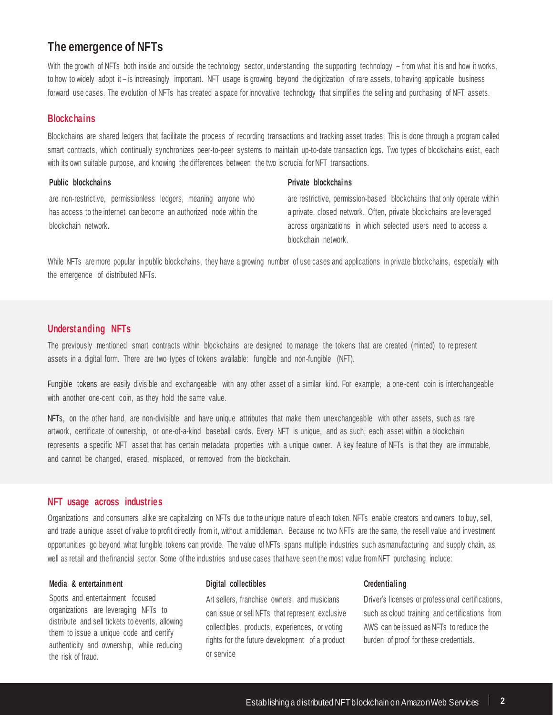# **The emergence of NFTs**

With the growth of NFTs both inside and outside the technology sector, understanding the supporting technology – from what it is and how it works, to how to widely adopt it – is increasingly important. NFT usage is growing beyond the digitization of rare assets, to having applicable business forward use cases. The evolution of NFTs has created a space for innovative technology that simplifies the selling and purchasing of NFT assets.

## **Blockchains**

Blockchains are shared ledgers that facilitate the process of recording transactions and tracking asset trades. This is done through a program called smart contracts, which continually synchronizes peer-to-peer systems to maintain up-to-date transaction logs. Two types of blockchains exist, each with its own suitable purpose, and knowing the differences between the two is crucial for NFT transactions.

## **Public blockchai ns**

are non-restrictive, permissionless ledgers, meaning anyone who has access to the internet can become an authorized node within the blockchain network.

#### **Private blockchai ns**

are restrictive, permission-bas ed blockchains that only operate within a private, closed network. Often, private blockchains are leveraged across organizations in which selected users need to access a blockchain network.

While NFTs are more popular in public blockchains, they have a growing number of use cases and applications in private blockchains, especially with the emergence of distributed NFTs.

## **Understanding NFTs**

The previously mentioned smart contracts within blockchains are designed to manage the tokens that are created (minted) to re present assets in a digital form. There are two types of tokens available: fungible and non-fungible (NFT).

Fungible tokens are easily divisible and exchangeable with any other asset of a similar kind. For example, a one -cent coin is interchangeable with another one-cent coin, as they hold the same value.

NFTs, on the other hand, are non-divisible and have unique attributes that make them unexchangeable with other assets, such as rare artwork, certificate of ownership, or one-of-a-kind baseball cards. Every NFT is unique, and as such, each asset within a blockchain represents a specific NFT asset that has certain metadata properties with a unique owner. A key feature of NFTs is that they are immutable, and cannot be changed, erased, misplaced, or removed from the blockchain.

## **NFT usage across industries**

Organizations and consumers alike are capitalizing on NFTs due to the unique nature of each token. NFTs enable creators and owners to buy, sell, and trade a unique asset of value to profit directly from it, without a middleman. Because no two NFTs are the same, the resell value and investment opportunities go beyond what fungible tokens can provide. The value of NFTs spans multiple industries such as manufacturing and supply chain, as well as retail and thefinancial sector. Some of the industries and use cases that have seen the most value from NFT purchasing include:

#### **Media & entertainm ent**

Sports and entertainment focused organizations are leveraging NFTs to distribute and sell tickets to events, allowing them to issue a unique code and certify authenticity and ownership, while reducing the risk of fraud.

#### **Digital collectibles**

Art sellers, franchise owners, and musicians can issue or sell NFTs that represent exclusive collectibles, products, experiences, or voting rights for the future development of a product or service

#### **Credentiali ng**

Driver's licenses or professional certifications, such as cloud training and certifications from AWS can be issued as NFTs to reduce the burden of proof for these credentials.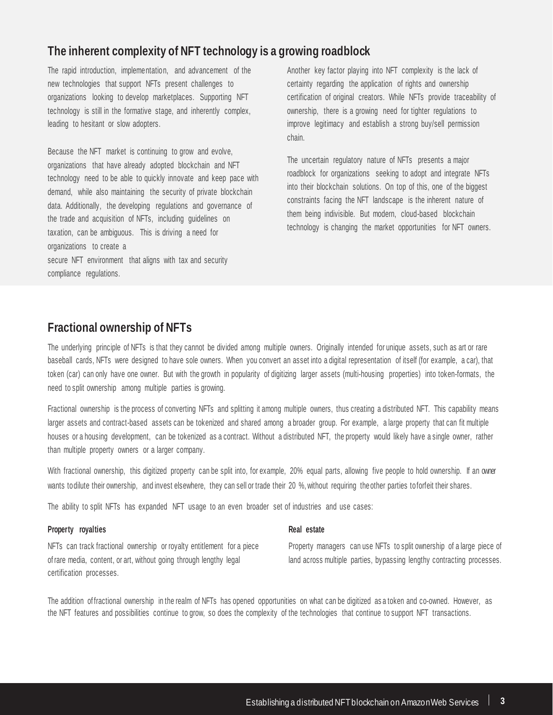# **The inherent complexity of NFT technology is a growing roadblock**

The rapid introduction, implementation, and advancement of the new technologies that support NFTs present challenges to organizations looking to develop marketplaces. Supporting NFT technology is still in the formative stage, and inherently complex, leading to hesitant or slow adopters.

Because the NFT market is continuing to grow and evolve, organizations that have already adopted blockchain and NFT technology need to be able to quickly innovate and keep pace with demand, while also maintaining the security of private blockchain data. Additionally, the developing regulations and governance of the trade and acquisition of NFTs, including guidelines on taxation, can be ambiguous. This is driving a need for organizations to create a secure NFT environment that aligns with tax and security compliance regulations.

Another key factor playing into NFT complexity is the lack of certainty regarding the application of rights and ownership certification of original creators. While NFTs provide traceability of ownership, there is a growing need for tighter regulations to improve legitimacy and establish a strong buy/sell permission chain.

The uncertain regulatory nature of NFTs presents a major roadblock for organizations seeking to adopt and integrate NFTs into their blockchain solutions. On top of this, one of the biggest constraints facing the NFT landscape is the inherent nature of them being indivisible. But modern, cloud-based blockchain technology is changing the market opportunities for NFT owners.

# **Fractional ownership of NFTs**

The underlying principle of NFTs is that they cannot be divided among multiple owners. Originally intended for unique assets, such as art or rare baseball cards, NFTs were designed to have sole owners. When you convert an asset into a digital representation of itself (for example, a car), that token (car) can only have one owner. But with the growth in popularity of digitizing larger assets (multi-housing properties) into token-formats, the need to split ownership among multiple parties is growing.

Fractional ownership is the process of converting NFTs and splitting it among multiple owners, thus creating a distributed NFT. This capability means larger assets and contract-based assets can be tokenized and shared among a broader group. For example, a large property that can fit multiple houses or a housing development, can be tokenized as a contract. Without a distributed NFT, the property would likely have a single owner, rather than multiple property owners or a larger company.

With fractional ownership, this digitized property can be split into, for example, 20% equal parts, allowing five people to hold ownership. If an owner wants todilute their ownership, and invest elsewhere, they can sell or trade their 20 %, without requiring theother parties toforfeit their shares.

The ability to split NFTs has expanded NFT usage to an even broader set of industries and use cases:

## **Property royalties**

NFTs can track fractional ownership or royalty entitlement for a piece of rare media, content, or art, without going through lengthy legal certification processes.

#### **Real estate**

Property managers can use NFTs to split ownership of a large piece of land across multiple parties, bypassing lengthy contracting processes.

The addition of fractional ownership in the realm of NFTs has opened opportunities on what can be digitized as a token and co-owned. However, as the NFT features and possibilities continue to grow, so does the complexity of the technologies that continue to support NFT transactions.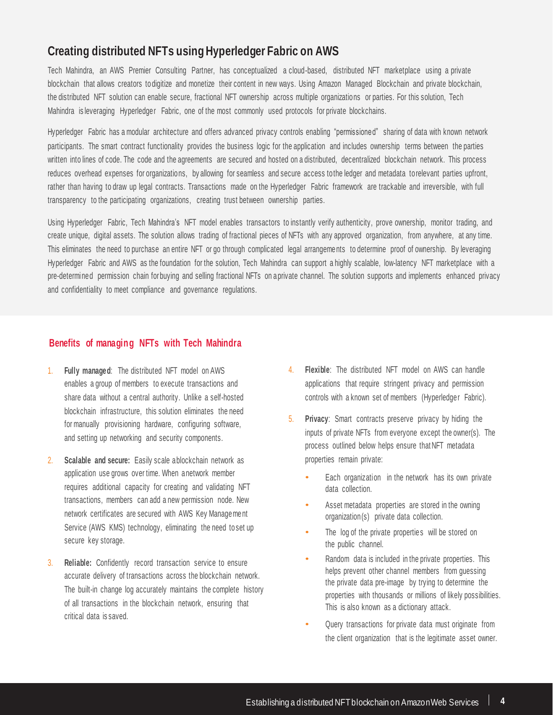# **Creating distributed NFTs using Hyperledger Fabric on AWS**

Tech Mahindra, an AWS Premier Consulting Partner, has conceptualized a cloud-based, distributed NFT marketplace using a private blockchain that allows creators to digitize and monetize their content in new ways. Using Amazon Managed Blockchain and private blockchain, the distributed NFT solution can enable secure, fractional NFT ownership across multiple organizations or parties. For this solution, Tech Mahindra is leveraging Hyperledger Fabric, one of the most commonly used protocols for private blockchains.

Hyperledger Fabric has a modular architecture and offers advanced privacy controls enabling "permissioned" sharing of data with known network participants. The smart contract functionality provides the business logic for the application and includes ownership terms between the parties written into lines of code. The code and the agreements are secured and hosted on a distributed, decentralized blockchain network. This process reduces overhead expenses for organizations, by allowing for seamless and secure access tothe ledger and metadata torelevant parties upfront, rather than having to draw up legal contracts. Transactions made on the Hyperledger Fabric framework are trackable and irreversible, with full transparency to the participating organizations, creating trust between ownership parties.

Using Hyperledger Fabric, Tech Mahindra's NFT model enables transactors to instantly verify authenticity, prove ownership, monitor trading, and create unique, digital assets. The solution allows trading of fractional pieces of NFTs with any approved organization, from anywhere, at any time. This eliminates the need to purchase an entire NFT or go through complicated legal arrangements to determine proof of ownership. By leveraging Hyperledger Fabric and AWS as the foundation for the solution, Tech Mahindra can support a highly scalable, low-latency NFT marketplace with a pre-determined permission chain forbuying and selling fractional NFTs on aprivate channel. The solution supports and implements enhanced privacy and confidentiality to meet compliance and governance regulations.

## **Benefits of managing NFTs with Tech Mahindra**

- 1. **Fully managed**: The distributed NFT model on AWS enables a group of members to execute transactions and share data without a central authority. Unlike a self-hosted blockchain infrastructure, this solution eliminates the need for manually provisioning hardware, configuring software, and setting up networking and security components.
- 2. **Scalable and secure:** Easily scale ablockchain network as application use grows over time. When a network member requires additional capacity for creating and validating NFT transactions, members can add a new permission node. New network certificates are secured with AWS Key Management Service (AWS KMS) technology, eliminating the need to set up secure key storage.
- 3. **Reliable:** Confidently record transaction service to ensure accurate delivery of transactions across the blockchain network. The built-in change log accurately maintains the complete history of all transactions in the blockchain network, ensuring that critical data is saved.
- 4. **Flexible**: The distributed NFT model on AWS can handle applications that require stringent privacy and permission controls with a known set of members (Hyperledger Fabric).
- 5. **Privacy**: Smart contracts preserve privacy by hiding the inputs of private NFTs from everyone except the owner(s). The process outlined below helps ensure that NFT metadata properties remain private:
	- Each organization in the network has its own private data collection.
	- Asset metadata properties are stored in the owning organization(s) private data collection.
	- The log of the private properties will be stored on the public channel.
	- Random data is included in the private properties. This helps prevent other channel members from guessing the private data pre-image by trying to determine the properties with thousands or millions of likely possibilities. This is also known as a dictionary attack.
	- Query transactions for private data must originate from the client organization that is the legitimate asset owner.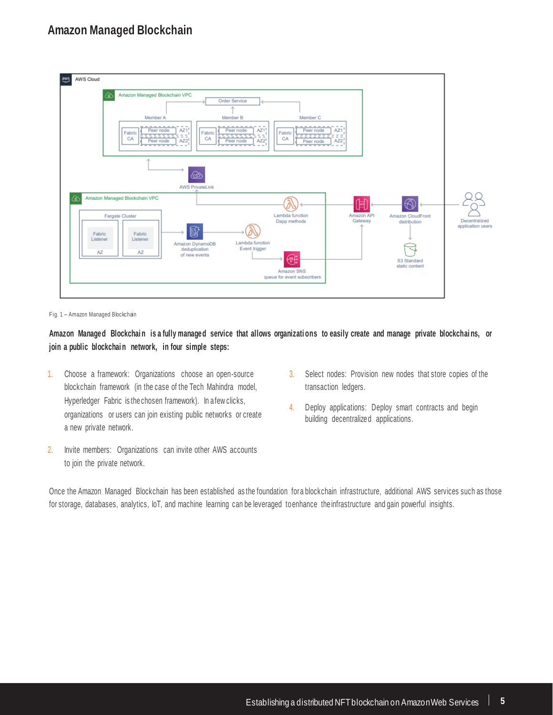

Fig. 1 – Amazon Managed Blockchain

Amazon Managed Blockchain is a fully managed service that allows organizations to easily create and manage private blockchains, or **join <sup>a</sup> public blockchai n network, in four simple steps:**

- 1. Choose a framework: Organizations choose an open-source blockchain framework (in the case of the Tech Mahindra model, Hyperledger Fabric is thechosen framework). In afew clicks, organizations or users can join existing public networks or create a new private network.
- 2. Invite members: Organizations can invite other AWS accounts to join the private network.
- 3. Select nodes: Provision new nodes that store copies of the transaction ledgers.
- 4. Deploy applications: Deploy smart contracts and begin building decentralized applications.

Once the Amazon Managed Blockchain has been established as the foundation fora blockchain infrastructure, additional AWS services such as those for storage, databases, analytics, IoT, and machine learning can be leveraged to enhance the infrastructure and gain powerful insights.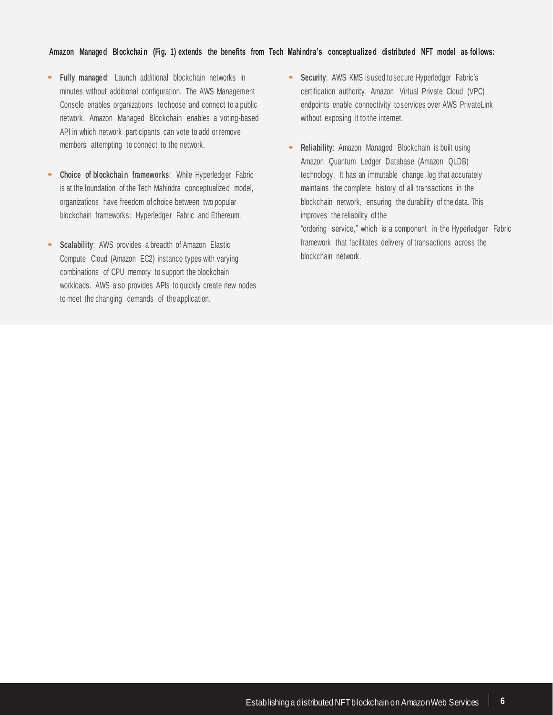### Amazon Managed Blockchain (Fig. 1) extends the benefits from Tech Mahindra's conceptualized distributed NFT model as follows:

- **• Fully managed**: Launch additional blockchain networks in minutes without additional configuration. The AWS Management Console enables organizations tochoose and connect to a public network. Amazon Managed Blockchain enables a voting-based API in which network participants can vote to add or remove members attempting to connect to the network.
- **• Choice of blockchai n frameworks**: While Hyperledger Fabric is at the foundation of the Tech Mahindra conceptualized model, organizations have freedom of choice between two popular blockchain frameworks: Hyperledger Fabric and Ethereum.
- **• Scalability**: AWS provides <sup>a</sup> breadth of Amazon Elastic Compute Cloud (Amazon EC2) instance types with varying combinations of CPU memory to support the blockchain workloads. AWS also provides APIs to quickly create new nodes to meet the changing demands of the application.
- **• Security**: AWS KMS is used to secure Hyperledger Fabric's certification authority. Amazon Virtual Private Cloud (VPC) endpoints enable connectivity toservices over AWS PrivateLink without exposing it to the internet.
- **• Reliability**: Amazon Managed Blockchain is built using Amazon Quantum Ledger Database (Amazon QLDB) technology. It has an immutable change log that accurately maintains the complete history of all transactions in the blockchain network, ensuring the durability of the data. This improves the reliability of the "ordering service," which is a component in the Hyperledger Fabric

framework that facilitates delivery of transactions across the blockchain network.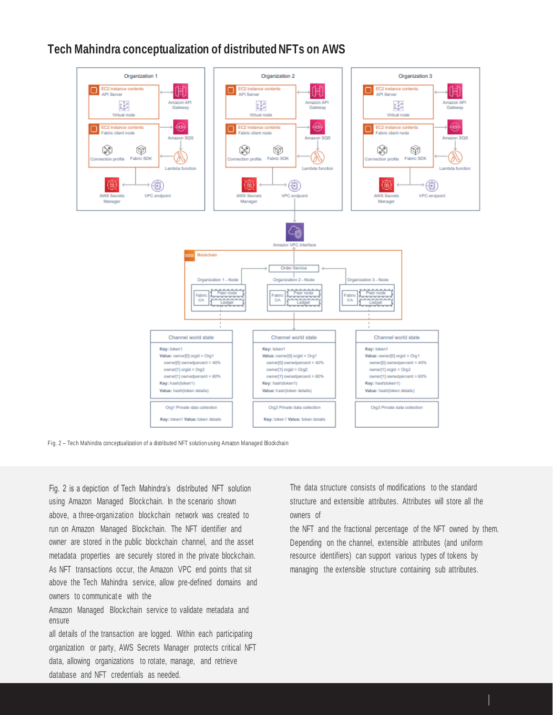# **Tech Mahindra conceptualization of distributed NFTs on AWS**



Fig. 2 – Tech Mahindra conceptualization of a distributed NFT solution using Amazon Managed Blockchain

Fig. 2 is a depiction of Tech Mahindra's distributed NFT solution using Amazon Managed Blockchain. In the scenario shown above, a three-organization blockchain network was created to run on Amazon Managed Blockchain. The NFT identifier and owner are stored in the public blockchain channel, and the asset metadata properties are securely stored in the private blockchain. As NFT transactions occur, the Amazon VPC end points that sit above the Tech Mahindra service, allow pre-defined domains and owners to communicate with the

Amazon Managed Blockchain service to validate metadata and ensure

all details of the transaction are logged. Within each participating organization or party, AWS Secrets Manager protects critical NFT data, allowing organizations to rotate, manage, and retrieve database and NFT credentials as needed.

The data structure consists of modifications to the standard structure and extensible attributes. Attributes will store all the owners of

the NFT and the fractional percentage of the NFT owned by them. Depending on the channel, extensible attributes (and uniform resource identifiers) can support various types of tokens by managing the extensible structure containing sub attributes.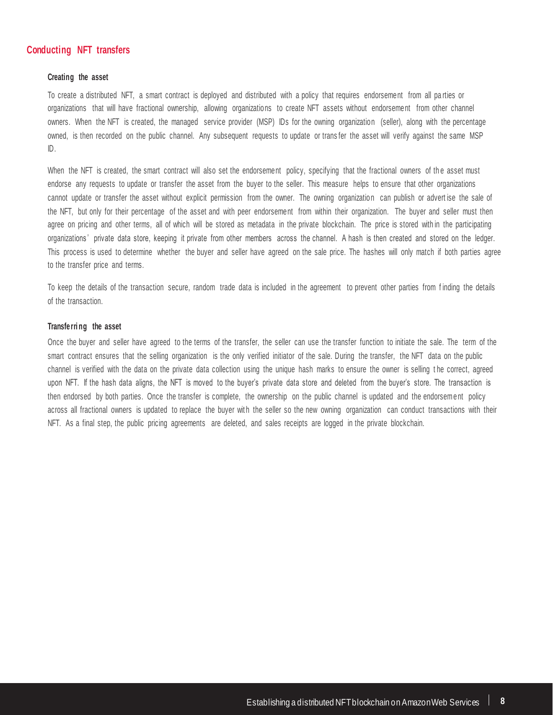## **Conducting NFT transfers**

#### **Creating the asset**

To create a distributed NFT, a smart contract is deployed and distributed with a policy that requires endorsement from all pa rties or organizations that will have fractional ownership, allowing organizations to create NFT assets without endorsement from other channel owners. When the NFT is created, the managed service provider (MSP) IDs for the owning organization (seller), along with the percentage owned, is then recorded on the public channel. Any subsequent requests to update or trans fer the asset will verify against the same MSP ID.

When the NFT is created, the smart contract will also set the endorsement policy, specifying that the fractional owners of the asset must endorse any requests to update or transfer the asset from the buyer to the seller. This measure helps to ensure that other organizations cannot update or transfer the asset without explicit permission from the owner. The owning organization can publish or advert ise the sale of the NFT, but only for their percentage of the asset and with peer endorsement from within their organization. The buyer and seller must then agree on pricing and other terms, all of which will be stored as metadata in the private blockchain. The price is stored with in the participating organizations ' private data store, keeping it private from other members across the channel. A hash is then created and stored on the ledger. This process is used to determine whether the buyer and seller have agreed on the sale price. The hashes will only match if both parties agree to the transfer price and terms.

To keep the details of the transaction secure, random trade data is included in the agreement to prevent other parties from f inding the details of the transaction.

### **Transferri ng the asset**

Once the buyer and seller have agreed to the terms of the transfer, the seller can use the transfer function to initiate the sale. The term of the smart contract ensures that the selling organization is the only verified initiator of the sale. During the transfer, the NFT data on the public channel is verified with the data on the private data collection using the unique hash marks to ensure the owner is selling the correct, agreed upon NFT. If the hash data aligns, the NFT is moved to the buyer's private data store and deleted from the buyer's store. The transaction is then endorsed by both parties. Once the transfer is complete, the ownership on the public channel is updated and the endorsem ent policy across all fractional owners is updated to replace the buyer with the seller so the new owning organization can conduct transactions with their NFT. As a final step, the public pricing agreements are deleted, and sales receipts are logged in the private blockchain.